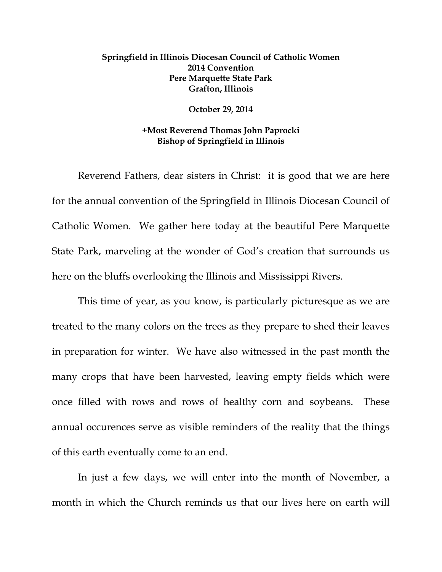## **Springfield in Illinois Diocesan Council of Catholic Women 2014 Convention Pere Marquette State Park Grafton, Illinois**

## **October 29, 2014**

## **+Most Reverend Thomas John Paprocki Bishop of Springfield in Illinois**

Reverend Fathers, dear sisters in Christ: it is good that we are here for the annual convention of the Springfield in Illinois Diocesan Council of Catholic Women. We gather here today at the beautiful Pere Marquette State Park, marveling at the wonder of God's creation that surrounds us here on the bluffs overlooking the Illinois and Mississippi Rivers.

This time of year, as you know, is particularly picturesque as we are treated to the many colors on the trees as they prepare to shed their leaves in preparation for winter. We have also witnessed in the past month the many crops that have been harvested, leaving empty fields which were once filled with rows and rows of healthy corn and soybeans. These annual occurences serve as visible reminders of the reality that the things of this earth eventually come to an end.

In just a few days, we will enter into the month of November, a month in which the Church reminds us that our lives here on earth will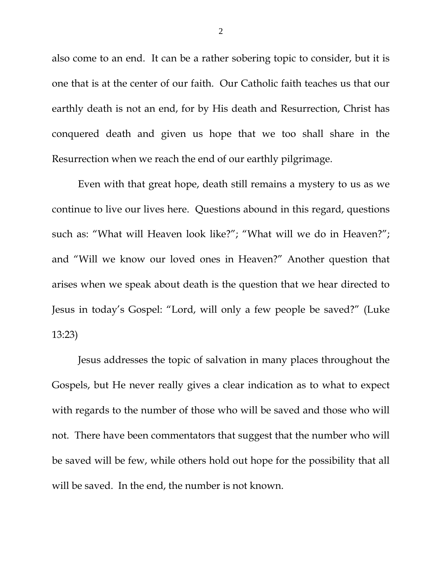also come to an end. It can be a rather sobering topic to consider, but it is one that is at the center of our faith. Our Catholic faith teaches us that our earthly death is not an end, for by His death and Resurrection, Christ has conquered death and given us hope that we too shall share in the Resurrection when we reach the end of our earthly pilgrimage.

Even with that great hope, death still remains a mystery to us as we continue to live our lives here. Questions abound in this regard, questions such as: "What will Heaven look like?"; "What will we do in Heaven?"; and "Will we know our loved ones in Heaven?" Another question that arises when we speak about death is the question that we hear directed to Jesus in today's Gospel: "Lord, will only a few people be saved?" (Luke 13:23)

Jesus addresses the topic of salvation in many places throughout the Gospels, but He never really gives a clear indication as to what to expect with regards to the number of those who will be saved and those who will not. There have been commentators that suggest that the number who will be saved will be few, while others hold out hope for the possibility that all will be saved. In the end, the number is not known.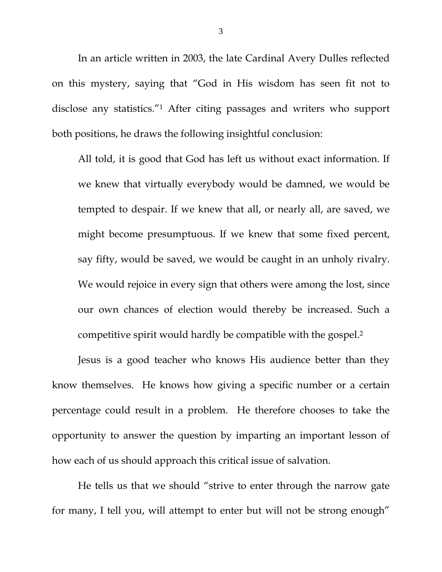In an article written in 2003, the late Cardinal Avery Dulles reflected on this mystery, saying that "God in His wisdom has seen fit not to disclose any statistics."1 After citing passages and writers who support both positions, he draws the following insightful conclusion:

All told, it is good that God has left us without exact information. If we knew that virtually everybody would be damned, we would be tempted to despair. If we knew that all, or nearly all, are saved, we might become presumptuous. If we knew that some fixed percent, say fifty, would be saved, we would be caught in an unholy rivalry. We would rejoice in every sign that others were among the lost, since our own chances of election would thereby be increased. Such a competitive spirit would hardly be compatible with the gospel.2

 Jesus is a good teacher who knows His audience better than they know themselves. He knows how giving a specific number or a certain percentage could result in a problem. He therefore chooses to take the opportunity to answer the question by imparting an important lesson of how each of us should approach this critical issue of salvation.

 He tells us that we should "strive to enter through the narrow gate for many, I tell you, will attempt to enter but will not be strong enough"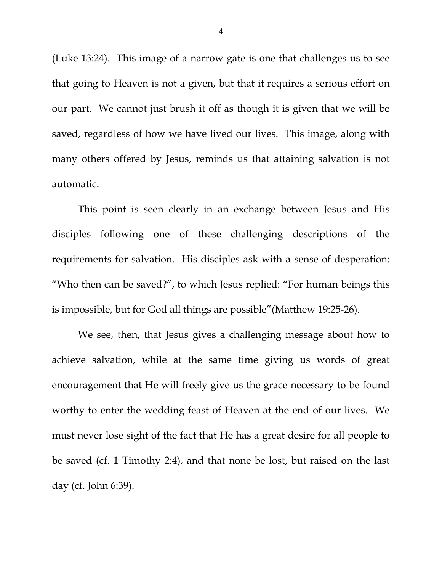(Luke 13:24). This image of a narrow gate is one that challenges us to see that going to Heaven is not a given, but that it requires a serious effort on our part. We cannot just brush it off as though it is given that we will be saved, regardless of how we have lived our lives. This image, along with many others offered by Jesus, reminds us that attaining salvation is not automatic.

 This point is seen clearly in an exchange between Jesus and His disciples following one of these challenging descriptions of the requirements for salvation. His disciples ask with a sense of desperation: "Who then can be saved?", to which Jesus replied: "For human beings this is impossible, but for God all things are possible"(Matthew 19:25-26).

 We see, then, that Jesus gives a challenging message about how to achieve salvation, while at the same time giving us words of great encouragement that He will freely give us the grace necessary to be found worthy to enter the wedding feast of Heaven at the end of our lives. We must never lose sight of the fact that He has a great desire for all people to be saved (cf. 1 Timothy 2:4), and that none be lost, but raised on the last day (cf. John 6:39).

4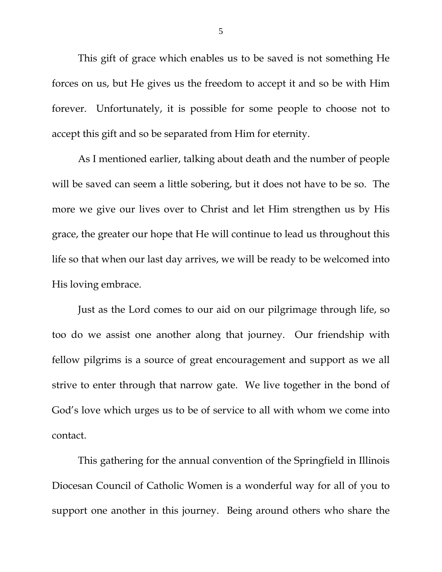This gift of grace which enables us to be saved is not something He forces on us, but He gives us the freedom to accept it and so be with Him forever. Unfortunately, it is possible for some people to choose not to accept this gift and so be separated from Him for eternity.

 As I mentioned earlier, talking about death and the number of people will be saved can seem a little sobering, but it does not have to be so. The more we give our lives over to Christ and let Him strengthen us by His grace, the greater our hope that He will continue to lead us throughout this life so that when our last day arrives, we will be ready to be welcomed into His loving embrace.

 Just as the Lord comes to our aid on our pilgrimage through life, so too do we assist one another along that journey. Our friendship with fellow pilgrims is a source of great encouragement and support as we all strive to enter through that narrow gate. We live together in the bond of God's love which urges us to be of service to all with whom we come into contact.

This gathering for the annual convention of the Springfield in Illinois Diocesan Council of Catholic Women is a wonderful way for all of you to support one another in this journey. Being around others who share the